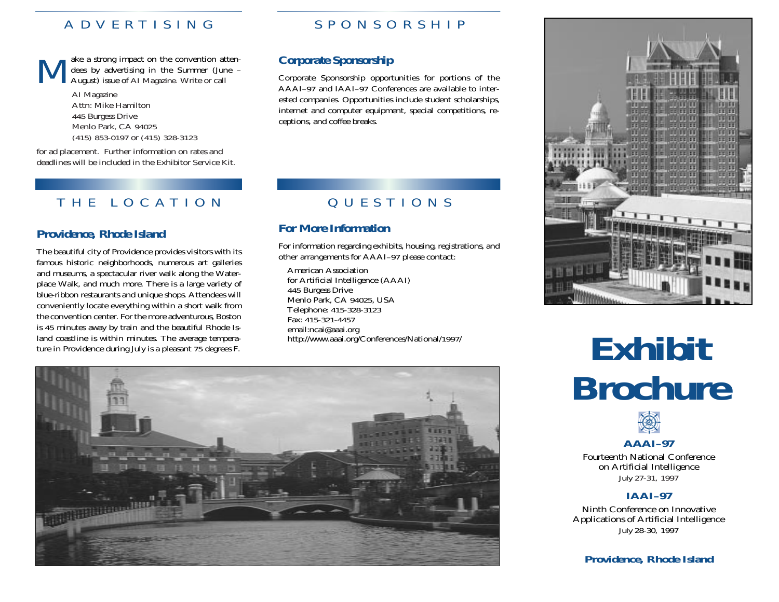Make a strong impact on the convention atten- dees by advertising in the Summer (June – August) issue of *AI Magazine.* Write or call

*AI Magazine* Attn: Mike Hamilton 445 Burgess Drive Menlo Park, CA 94025 (415) 853-0197 or (415) 328-3123

for ad placement. Further information on rates and deadlines will be included in the Exhibitor Service Kit.

### THE LO CATION

### *Providence, Rhode Island*

The beautiful city of Providence provides visitors with its famous historic neighborhoods, numerous art galleries and museums, a spectacular river walk along the Waterplace Walk, and much more. There is a large variety of blue-ribbon restaurants and unique shops. Attendees will conveniently locate everything within a short walk from the convention center. For the more adventurous, Boston is 45 minutes away by train and the beautiful Rhode Island coastline is within minutes. The average temperature in Providence during July is a pleasant 75 degrees F.

### ADVERTISING SPONSORSHIP

### *Corporate Sponsorship*

Corporate Sponsorship opportunities for portions of the AAAI–97 and IAAI–97 Conferences are available to interested companies. Opportunities include student scholarships, internet and computer equipment, special competitions, receptions, and coffee breaks.

## QUESTIONS

### *For More Information*

For information regarding exhibits, housing, registrations, and other arrangements for AAAI–97 please contact:

American Association for Artificial Intelligence (AAAI) 445 Burgess Drive Menlo Park, CA 94025, USA Telephone: 415-328-3123 Fax: 415-321-4457email:ncai@aaai.org http://www.aaai.org/Conferences/National/1997/



# **Exhibit Brochure**



Fourteenth National Conference on Artificial Intelligence *July 27-31, 1997*

### **IAAI–97**

Ninth Conference on Innovative Applications of Artificial Intelligence *July 28-30, 1997*

**Providence, Rhode Island**